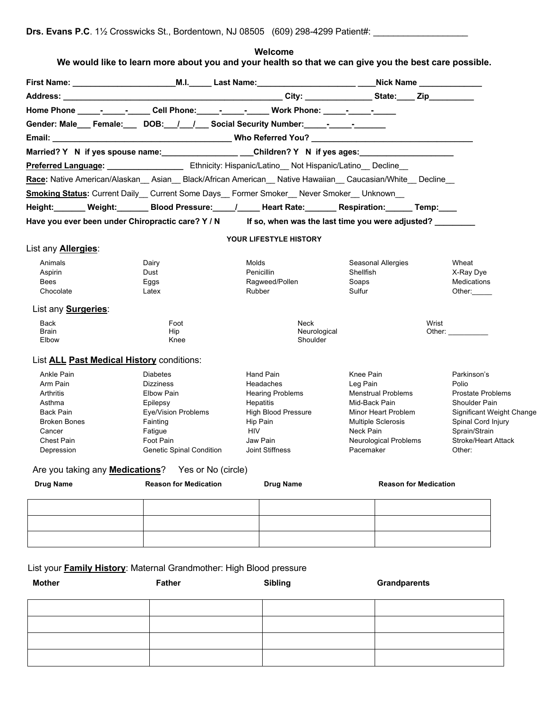| Home Phone _______________Cell Phone: ______________Work Phone: ________________                               |                                     |                        |                               |                           |                              |                            |
|----------------------------------------------------------------------------------------------------------------|-------------------------------------|------------------------|-------------------------------|---------------------------|------------------------------|----------------------------|
| Gender: Male___ Female:____ DOB:__/__/___ Social Security Number:______-________                               |                                     |                        |                               |                           |                              |                            |
|                                                                                                                |                                     |                        |                               |                           |                              |                            |
| Married? Y N if yes spouse name: _____________________Children? Y N if yes ages:                               |                                     |                        |                               |                           |                              |                            |
|                                                                                                                |                                     |                        |                               |                           |                              |                            |
| Race: Native American/Alaskan _ Asian _ Black/African American _ Native Hawaiian _ Caucasian/White _ Decline _ |                                     |                        |                               |                           |                              |                            |
| <b>Smoking Status:</b> Current Daily Current Some Days Former Smoker Never Smoker Unknown                      |                                     |                        |                               |                           |                              |                            |
| Height:_______Weight:________Blood Pressure:_____/______Heart Rate:________Respiration:_______Temp:____        |                                     |                        |                               |                           |                              |                            |
| Have you ever been under Chiropractic care? Y / N If so, when was the last time you were adjusted?             |                                     |                        |                               |                           |                              |                            |
|                                                                                                                |                                     |                        |                               |                           |                              |                            |
|                                                                                                                |                                     |                        | <b>YOUR LIFESTYLE HISTORY</b> |                           |                              |                            |
| List any <b>Allergies:</b>                                                                                     |                                     |                        |                               |                           |                              |                            |
| Animals                                                                                                        | Dairy                               | Molds                  |                               | <b>Seasonal Allergies</b> |                              | Wheat                      |
| Aspirin                                                                                                        | Dust                                | Penicillin             |                               | Shellfish                 |                              | X-Ray Dye                  |
| Bees                                                                                                           | Eggs                                |                        | Ragweed/Pollen                | Soaps                     |                              | Medications                |
| Chocolate                                                                                                      | Latex                               | Rubber                 |                               | Sulfur                    |                              | Other:                     |
| List any <b>Surgeries:</b>                                                                                     |                                     |                        |                               |                           |                              |                            |
| Back                                                                                                           | Foot                                |                        | Neck                          |                           |                              | Wrist                      |
| <b>Brain</b><br>Elbow                                                                                          | Hip<br>Knee                         |                        | Neurological<br>Shoulder      |                           |                              | Other:                     |
| List <b>ALL Past Medical History</b> conditions:                                                               |                                     |                        |                               |                           |                              |                            |
| Ankle Pain<br>Arm Pain                                                                                         | <b>Diabetes</b><br><b>Dizziness</b> | Hand Pain<br>Headaches |                               | Knee Pain<br>Leg Pain     |                              | Parkinson's<br>Polio       |
| Arthritis                                                                                                      | Elbow Pain                          |                        | <b>Hearing Problems</b>       | <b>Menstrual Problems</b> |                              | <b>Prostate Problems</b>   |
| Asthma                                                                                                         | Epilepsy                            | Hepatitis              |                               | Mid-Back Pain             |                              | <b>Shoulder Pain</b>       |
| Back Pain                                                                                                      | <b>Eye/Vision Problems</b>          |                        | <b>High Blood Pressure</b>    | Minor Heart Problem       |                              | Significant Weight Change  |
| <b>Broken Bones</b>                                                                                            | Fainting                            | Hip Pain               |                               | <b>Multiple Sclerosis</b> |                              | Spinal Cord Injury         |
| Cancer                                                                                                         | Fatigue                             | <b>HIV</b>             |                               | Neck Pain                 |                              | Sprain/Strain              |
| Chest Pain                                                                                                     | Foot Pain                           | Jaw Pain               |                               |                           | <b>Neurological Problems</b> | <b>Stroke/Heart Attack</b> |
| Depression                                                                                                     | <b>Genetic Spinal Condition</b>     | Joint Stiffness        |                               | Pacemaker                 |                              | Other:                     |
| Are you taking any <b>Medications</b> ? Yes or No (circle)                                                     |                                     |                        |                               |                           |                              |                            |
| <b>Drug Name</b>                                                                                               | <b>Reason for Medication</b>        |                        | <b>Drug Name</b>              |                           | <b>Reason for Medication</b> |                            |
|                                                                                                                |                                     |                        |                               |                           |                              |                            |
|                                                                                                                |                                     |                        |                               |                           |                              |                            |
|                                                                                                                |                                     |                        |                               |                           |                              |                            |
|                                                                                                                |                                     |                        |                               |                           |                              |                            |
| List your <b>Family History:</b> Maternal Grandmother: High Blood pressure                                     |                                     |                        |                               |                           |                              |                            |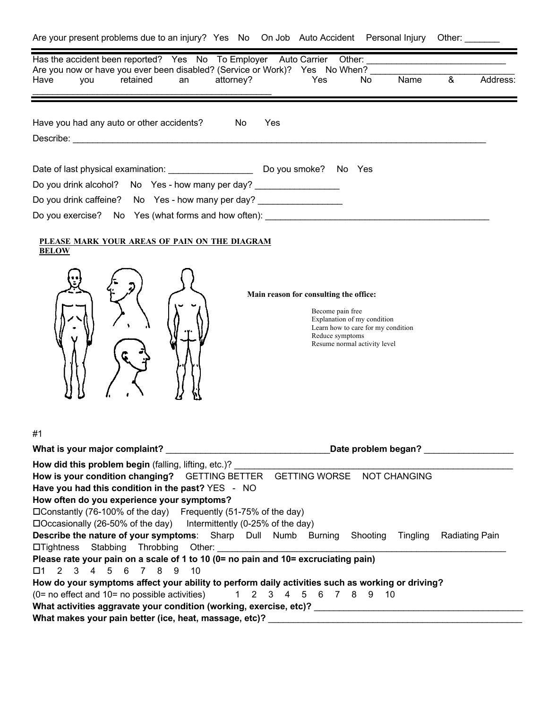| Has the accident been reported? Yes No To Employer Auto Carrier<br>Other: and the contract of the contract of the contract of the contract of the contract of the contract of the                                                                                                                                        |
|--------------------------------------------------------------------------------------------------------------------------------------------------------------------------------------------------------------------------------------------------------------------------------------------------------------------------|
| Are you now or have you ever been disabled? (Service or Work)? Yes No When?<br>Name<br>&<br>Address:<br>attorney?<br>retained<br>Yes<br>No<br>Have<br>you<br>an                                                                                                                                                          |
| Have you had any auto or other accidents?<br>Yes<br>No                                                                                                                                                                                                                                                                   |
|                                                                                                                                                                                                                                                                                                                          |
| Do you drink alcohol? No Yes - how many per day? __________________                                                                                                                                                                                                                                                      |
| Do you drink caffeine? No Yes - how many per day? ___________________<br>Do you exercise? No Yes (what forms and how often): ____________________________                                                                                                                                                                |
| PLEASE MARK YOUR AREAS OF PAIN ON THE DIAGRAM<br><b>BELOW</b><br>Main reason for consulting the office:<br>Become pain free<br>Explanation of my condition<br>Learn how to care for my condition<br>Reduce symptoms<br>Resume normal activity level                                                                      |
| #1                                                                                                                                                                                                                                                                                                                       |
| How did this problem begin (falling, lifting, etc.)?                                                                                                                                                                                                                                                                     |
| How is your condition changing?  GETTING BETTER  GETTING WORSE  NOT CHANGING                                                                                                                                                                                                                                             |
| Have you had this condition in the past? YES - NO<br>How often do you experience your symptoms?<br>□ Constantly (76-100% of the day) Frequently (51-75% of the day)<br>$\Box$ Occasionally (26-50% of the day) Intermittently (0-25% of the day)                                                                         |
| <b>Describe the nature of your symptoms:</b> Sharp Dull Numb Burning<br>Shooting<br><b>Radiating Pain</b><br>Tingling<br>Stabbing<br>Throbbing<br>$\Box$ Tightness                                                                                                                                                       |
| Please rate your pain on a scale of 1 to 10 (0= no pain and 10= excruciating pain)<br>5 6 7 8 9<br>$2 \quad 3 \quad 4$<br>10<br>□1                                                                                                                                                                                       |
| How do your symptoms affect your ability to perform daily activities such as working or driving?<br>(0= no effect and 10= no possible activities)<br>1 2 3 4 5 6 7 8 9 10<br>What activities aggravate your condition (working, exercise, etc)? ______________<br>What makes your pain better (ice, heat, massage, etc)? |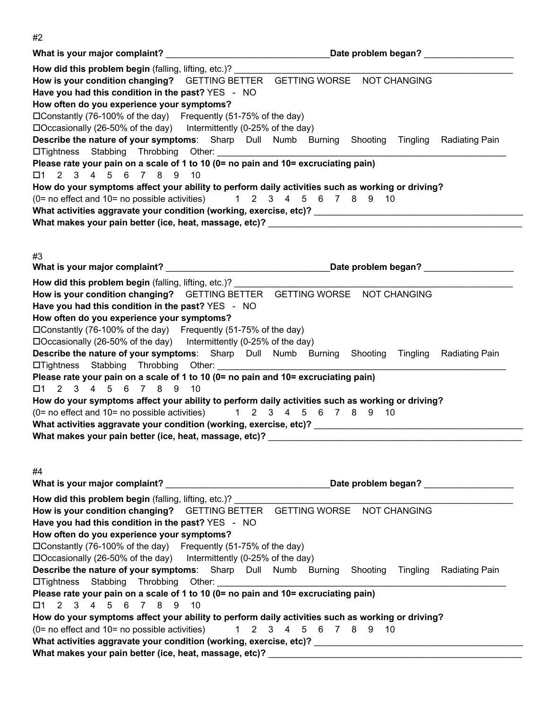|                                                                                                                                                       | Date problem began?                           |
|-------------------------------------------------------------------------------------------------------------------------------------------------------|-----------------------------------------------|
| How did this problem begin (falling, lifting, etc.)?                                                                                                  |                                               |
| How is your condition changing?  GETTING BETTER  GETTING WORSE  NOT CHANGING                                                                          |                                               |
| Have you had this condition in the past? YES - NO                                                                                                     |                                               |
| How often do you experience your symptoms?                                                                                                            |                                               |
| □ Constantly (76-100% of the day) Frequently (51-75% of the day)                                                                                      |                                               |
| $\Box$ Occasionally (26-50% of the day) Intermittently (0-25% of the day)                                                                             |                                               |
| Describe the nature of your symptoms: Sharp Dull Numb Burning Shooting Tingling Radiating Pain                                                        |                                               |
| Latightness Stabbing Throbbing Other: 2000 2010 2020 2020 2021 2021 2022 2021 2022 2021 2022 2023 2024 2022 20                                        |                                               |
| Please rate your pain on a scale of 1 to 10 (0= no pain and 10= excruciating pain)<br>$2 \quad 3 \quad 4$<br>6 7 8 9 10<br>5<br>□1                    |                                               |
| How do your symptoms affect your ability to perform daily activities such as working or driving?                                                      |                                               |
| (0= no effect and 10= no possible activities)                                                                                                         | 1 2 3 4 5 6 7 8 9 10                          |
| What activities aggravate your condition (working, exercise, etc)? _________________________________                                                  |                                               |
|                                                                                                                                                       |                                               |
|                                                                                                                                                       |                                               |
|                                                                                                                                                       |                                               |
| #3                                                                                                                                                    |                                               |
|                                                                                                                                                       |                                               |
| How did this problem begin (falling, lifting, etc.)?                                                                                                  |                                               |
| How is your condition changing?  GETTING BETTER  GETTING WORSE  NOT CHANGING                                                                          |                                               |
| Have you had this condition in the past? YES - NO                                                                                                     |                                               |
| How often do you experience your symptoms?                                                                                                            |                                               |
| □ Constantly (76-100% of the day) Frequently (51-75% of the day)                                                                                      |                                               |
| $\Box$ Occasionally (26-50% of the day) Intermittently (0-25% of the day)                                                                             |                                               |
| Describe the nature of your symptoms: Sharp Dull Numb Burning Shooting Tingling Radiating Pain                                                        |                                               |
|                                                                                                                                                       |                                               |
| Please rate your pain on a scale of 1 to 10 (0= no pain and 10= excruciating pain)<br>2 3 4 5 6 7 8 9<br>10<br>$\square$ 1                            |                                               |
| How do your symptoms affect your ability to perform daily activities such as working or driving?                                                      |                                               |
| $(0=$ no effect and $10=$ no possible activities)                                                                                                     | 1 2 3 4 5 6 7 8 9<br>- 10                     |
|                                                                                                                                                       |                                               |
|                                                                                                                                                       |                                               |
|                                                                                                                                                       |                                               |
|                                                                                                                                                       |                                               |
| #4                                                                                                                                                    |                                               |
|                                                                                                                                                       | Date problem began?                           |
| How did this problem begin (falling, lifting, etc.)?                                                                                                  |                                               |
| How is your condition changing? GETTING BETTER GETTING WORSE NOT CHANGING                                                                             |                                               |
| Have you had this condition in the past? YES - NO                                                                                                     |                                               |
| How often do you experience your symptoms?                                                                                                            |                                               |
| □ Constantly (76-100% of the day) Frequently (51-75% of the day)                                                                                      |                                               |
| $\Box$ Occasionally (26-50% of the day) Intermittently (0-25% of the day)                                                                             |                                               |
| <b>Describe the nature of your symptoms:</b> Sharp Dull Numb Burning                                                                                  | Shooting<br>Tingling<br><b>Radiating Pain</b> |
| □Tightness Stabbing Throbbing Other:                                                                                                                  |                                               |
| Please rate your pain on a scale of 1 to 10 (0= no pain and 10= excruciating pain)                                                                    |                                               |
| 2 3 4<br>6 7 8<br>□1<br>.5<br>9<br>10                                                                                                                 |                                               |
| How do your symptoms affect your ability to perform daily activities such as working or driving?<br>$(0=$ no effect and $10=$ no possible activities) | 1 2 3 4 5 6 7 8 9 10                          |
|                                                                                                                                                       |                                               |
| What makes your pain better (ice, heat, massage, etc)? _________________________                                                                      |                                               |
|                                                                                                                                                       |                                               |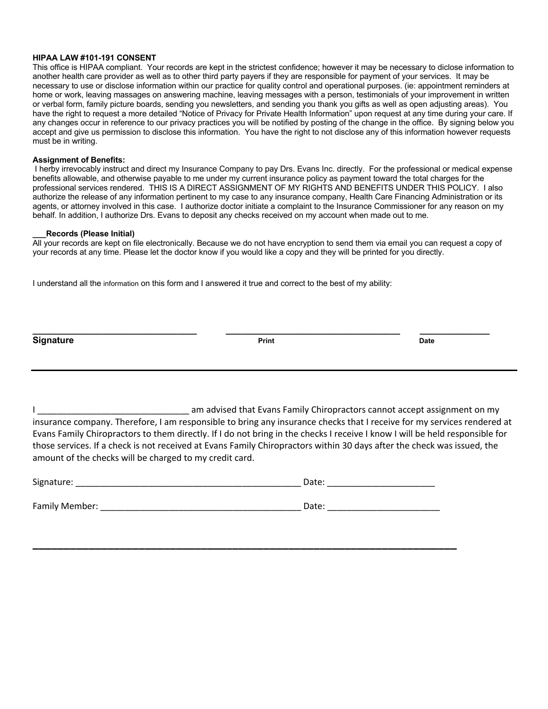#### **HIPAA LAW #101-191 CONSENT**

This office is HIPAA compliant. Your records are kept in the strictest confidence; however it may be necessary to diclose information to another health care provider as well as to other third party payers if they are responsible for payment of your services. It may be necessary to use or disclose information within our practice for quality control and operational purposes. (ie: appointment reminders at home or work, leaving massages on answering machine, leaving messages with a person, testimonials of your improvement in written or verbal form, family picture boards, sending you newsletters, and sending you thank you gifts as well as open adjusting areas). You have the right to request a more detailed "Notice of Privacy for Private Health Information" upon request at any time during your care. If any changes occur in reference to our privacy practices you will be notified by posting of the change in the office. By signing below you accept and give us permission to disclose this information. You have the right to not disclose any of this information however requests must be in writing.

#### **Assignment of Benefits:**

I herby irrevocably instruct and direct my Insurance Company to pay Drs. Evans Inc. directly. For the professional or medical expense benefits allowable, and otherwise payable to me under my current insurance policy as payment toward the total charges for the professional services rendered. THIS IS A DIRECT ASSIGNMENT OF MY RIGHTS AND BENEFITS UNDER THIS POLICY. I also authorize the release of any information pertinent to my case to any insurance company, Health Care Financing Administration or its agents, or attorney involved in this case. I authorize doctor initiate a complaint to the Insurance Commissioner for any reason on my behalf. In addition, I authorize Drs. Evans to deposit any checks received on my account when made out to me.

#### **\_\_\_Records (Please Initial)**

All your records are kept on file electronically. Because we do not have encryption to send them via email you can request a copy of your records at any time. Please let the doctor know if you would like a copy and they will be printed for you directly.

I understand all the information on this form and I answered it true and correct to the best of my ability:

| <b>Signature</b> | Print | <b>Date</b> |
|------------------|-------|-------------|
|                  |       |             |

**\_\_\_\_\_\_\_\_\_\_\_\_\_\_\_\_\_\_\_\_\_\_\_\_\_\_\_\_\_\_\_\_\_ \_\_\_\_\_\_\_\_\_\_\_\_\_\_\_\_\_\_\_\_\_\_\_\_\_\_\_\_\_\_\_\_\_\_\_ \_\_\_\_\_\_\_\_\_\_\_\_\_\_**

I am advised that Evans Family Chiropractors cannot accept assignment on my insurance company. Therefore, I am responsible to bring any insurance checks that I receive for my services rendered at Evans Family Chiropractors to them directly. If I do not bring in the checks I receive I know I will be held responsible for those services. If a check is not received at Evans Family Chiropractors within 30 days after the check was issued, the amount of the checks will be charged to my credit card.

| Signature:     | Date: |
|----------------|-------|
| Family Member: | Date: |

**\_\_\_\_\_\_\_\_\_\_\_\_\_\_\_\_\_\_\_\_\_\_\_\_\_\_\_\_\_\_\_\_\_\_\_\_\_\_\_\_\_\_\_\_\_\_\_\_\_\_\_\_\_\_\_\_\_\_\_\_\_\_\_\_\_\_\_\_**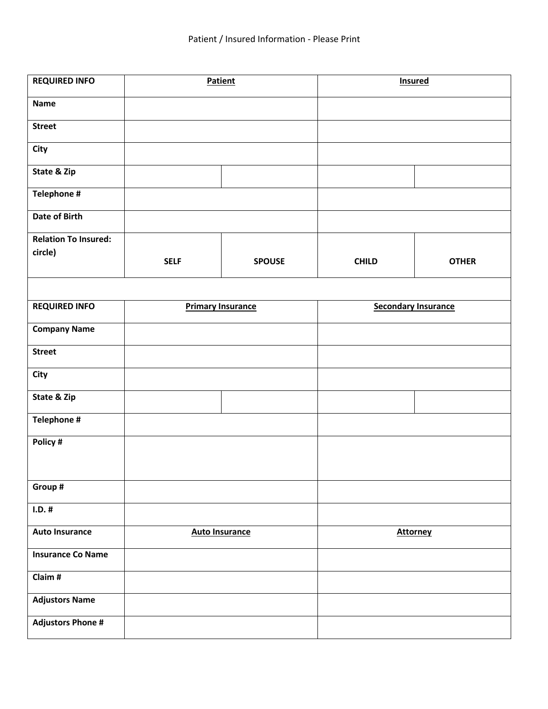| <b>REQUIRED INFO</b>        | Patient                  |               | <b>Insured</b>             |              |
|-----------------------------|--------------------------|---------------|----------------------------|--------------|
| <b>Name</b>                 |                          |               |                            |              |
| <b>Street</b>               |                          |               |                            |              |
| <b>City</b>                 |                          |               |                            |              |
| State & Zip                 |                          |               |                            |              |
| Telephone #                 |                          |               |                            |              |
| Date of Birth               |                          |               |                            |              |
| <b>Relation To Insured:</b> |                          |               |                            |              |
| circle)                     |                          |               |                            |              |
|                             | <b>SELF</b>              | <b>SPOUSE</b> | <b>CHILD</b>               | <b>OTHER</b> |
|                             |                          |               |                            |              |
| <b>REQUIRED INFO</b>        | <b>Primary Insurance</b> |               | <b>Secondary Insurance</b> |              |
| <b>Company Name</b>         |                          |               |                            |              |
| <b>Street</b>               |                          |               |                            |              |
| City                        |                          |               |                            |              |
| State & Zip                 |                          |               |                            |              |
| Telephone #                 |                          |               |                            |              |
| Policy #                    |                          |               |                            |              |
|                             |                          |               |                            |              |
| Group #                     |                          |               |                            |              |
| $I.D.$ #                    |                          |               |                            |              |
| <b>Auto Insurance</b>       | <b>Auto Insurance</b>    |               | <b>Attorney</b>            |              |
| <b>Insurance Co Name</b>    |                          |               |                            |              |
| Claim #                     |                          |               |                            |              |
| <b>Adjustors Name</b>       |                          |               |                            |              |
| <b>Adjustors Phone #</b>    |                          |               |                            |              |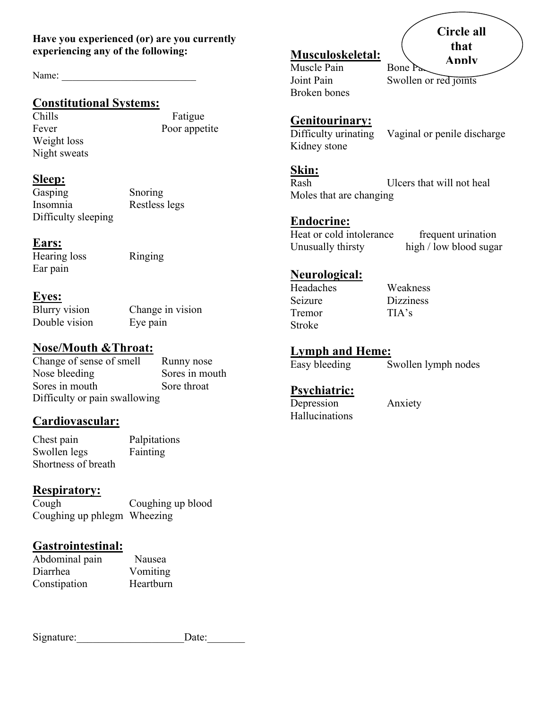#### **Have you experienced (or) are you currently experiencing any of the following:**

Name:

# **Constitutional Systems:**

Weight loss Night sweats

Chills Fatigue Fever Poor appetite

# **Sleep:**

Gasping Snoring Insomnia Restless legs Difficulty sleeping

# **Ears:**

Hearing loss Ringing Ear pain

# **Eyes:**

Double vision Eye pain

Blurry vision Change in vision

# **Nose/Mouth &Throat:**

Change of sense of smell Runny nose Nose bleeding Sores in mouth Sores in mouth Sore throat Difficulty or pain swallowing

# **Cardiovascular:**

Chest pain Palpitations Swollen legs Fainting Shortness of breath

# **Respiratory:**

Cough Coughing up blood Coughing up phlegm Wheezing

# **Gastrointestinal:**

| Abdominal pain | Nausea    |
|----------------|-----------|
| Diarrhea       | Vomiting  |
| Constipation   | Heartburn |

| Signature: | Date: |
|------------|-------|
|            |       |

# **Musculoskeletal:**

Muscle Pain Bone Pa Broken bones

Joint Pain Swollen or red joints

### **Genitourinary:**

Difficulty urinating Vaginal or penile discharge Kidney stone

#### **Skin:**

Rash Ulcers that will not heal Moles that are changing

# **Endocrine:**

Heat or cold intolerance frequent urination Unusually thirsty high / low blood sugar

# **Neurological:**

Headaches Weakness Seizure Dizziness Tremor TIA's Stroke

# **Lymph and Heme:**

Easy bleeding Swollen lymph nodes

# **Psychiatric:**

Depression Anxiety Hallucinations

**Circle all that Apply**